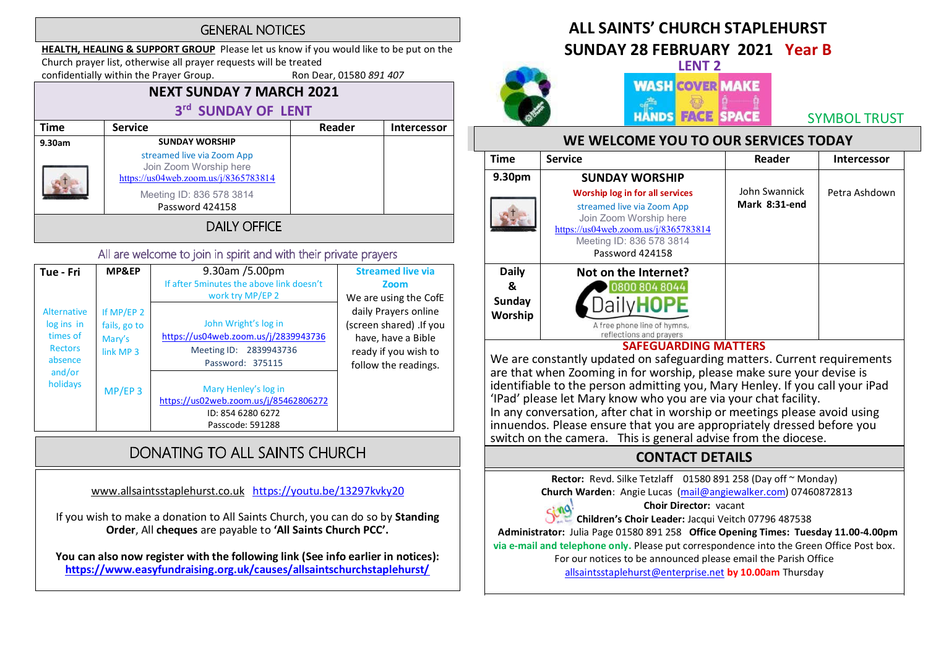#### **GENERAL NOTICES**

HEALTH, HEALING & SUPPORT GROUP Please let us know if you would like to be put on the Church prayer list, otherwise all prayer requests will be treated

confidentially within the Prayer Group. Ron Dear, 01580 891 407

## NEXT SUNDAY 7 MARCH 2021 3rd SUNDAY OF LENT

| <b>Time</b>         | <b>Service</b>                                                                               | Reader | Intercessor |  |
|---------------------|----------------------------------------------------------------------------------------------|--------|-------------|--|
| 9.30am              | <b>SUNDAY WORSHIP</b>                                                                        |        |             |  |
|                     | streamed live via Zoom App<br>Join Zoom Worship here<br>https://us04web.zoom.us/j/8365783814 |        |             |  |
|                     | Meeting ID: 836 578 3814<br>Password 424158                                                  |        |             |  |
| <b>DAILY OFFICE</b> |                                                                                              |        |             |  |

#### All are welcome to join in spirit and with their private prayers

| Tue - Fri                                                                                | <b>MP&amp;EP</b>                                             | 9.30am /5.00pm<br>If after 5 minutes the above link doesn't<br>work try MP/EP 2                            | <b>Streamed live via</b><br>Zoom<br>We are using the CofE                                                             |
|------------------------------------------------------------------------------------------|--------------------------------------------------------------|------------------------------------------------------------------------------------------------------------|-----------------------------------------------------------------------------------------------------------------------|
| Alternative<br>log ins in<br>times of<br><b>Rectors</b><br>absence<br>and/or<br>holidays | If MP/EP 2<br>fails, go to<br>Mary's<br>link MP <sub>3</sub> | John Wright's log in<br>https://us04web.zoom.us/j/2839943736<br>Meeting ID: 2839943736<br>Password: 375115 | daily Prayers online<br>(screen shared) .If you<br>have, have a Bible<br>ready if you wish to<br>follow the readings. |
|                                                                                          | $MP/EP$ 3                                                    | Mary Henley's log in<br>https://us02web.zoom.us/j/85462806272<br>ID: 854 6280 6272<br>Passcode: 591288     |                                                                                                                       |

## DONATING TO ALL SAINTS CHURCH

www.allsaintsstaplehurst.co.uk https://youtu.be/13297kvky20

If you wish to make a donation to All Saints Church, you can do so by Standing Order, All cheques are payable to 'All Saints Church PCC'.

You can also now register with the following link (See info earlier in notices): https://www.easyfundraising.org.uk/causes/allsaintschurchstaplehurst/

# ALL SAINTS' CHURCH STAPI FHURST

SUNDAY 28 FEBRUARY 2021 Year B



## LENT 2 **WASH COVER MAKE HANDS FACE SPACE**

SYMBOL TRUST

#### WE WELCOME YOU TO OUR SERVICES TODAY

| <b>Time</b>                                   | <b>Service</b>                                                                                                                                                                                                 | Reader                         | <b>Intercessor</b> |
|-----------------------------------------------|----------------------------------------------------------------------------------------------------------------------------------------------------------------------------------------------------------------|--------------------------------|--------------------|
| 9.30pm                                        | <b>SUNDAY WORSHIP</b><br><b>Worship log in for all services</b><br>streamed live via Zoom App<br>Join Zoom Worship here<br>https://us04web.zoom.us/j/8365783814<br>Meeting ID: 836 578 3814<br>Password 424158 | John Swannick<br>Mark 8:31-end | Petra Ashdown      |
| <b>Daily</b><br>&<br><b>Sunday</b><br>Worship | Not on the Internet?<br>0800 804 8044<br>A free phone line of hymns,<br>reflections and prayers                                                                                                                |                                |                    |

#### SAFEGUARDING MATTERS

We are constantly updated on safeguarding matters. Current requirements are that when Zooming in for worship, please make sure your devise is identifiable to the person admitting you, Mary Henley. If you call your iPad<br>'IPad' please let Mary know who you are via your chat facility. In any conversation, after chat in worship or meetings please avoid using innuendos. Please ensure that you are appropriately dressed before you switch on the camera. This is general advise from the diocese.

### CONTACT DETAILS

Rector: Revd. Silke Tetzlaff 01580 891 258 (Day off ~ Monday)

Church Warden: Angie Lucas (mail@angiewalker.com) 07460872813

#### Choir Director: vacant

Children's Choir Leader: Jacqui Veitch 07796 487538

Administrator: Julia Page 01580 891 258 Office Opening Times: Tuesday 11.00-4.00pm

via e-mail and telephone only. Please put correspondence into the Green Office Post box.

For our notices to be announced please email the Parish Office

allsaintsstaplehurst@enterprise.net by 10.00am Thursday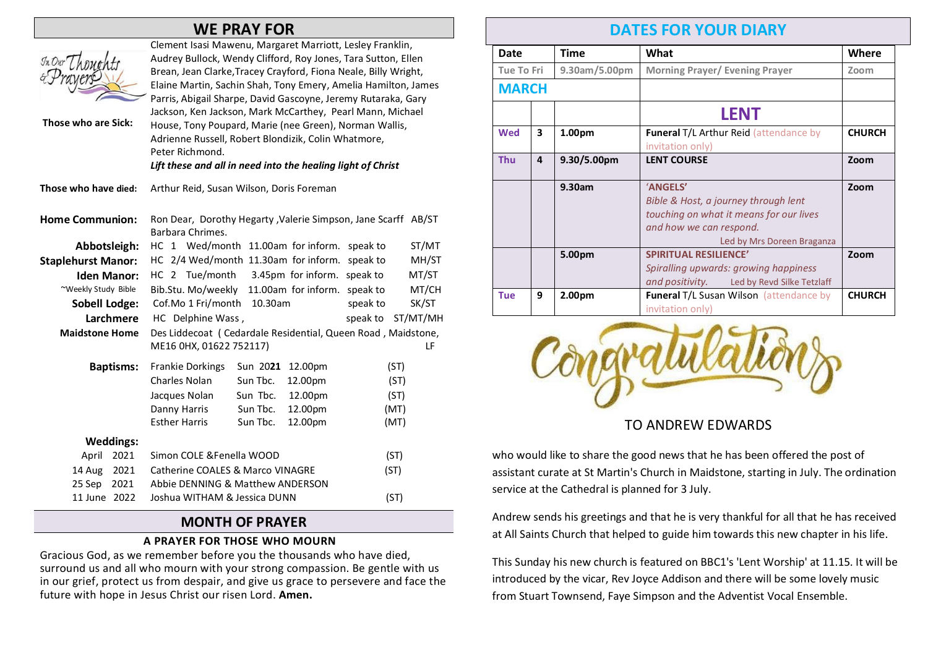## WE PRAY FOR

| In Our Tho<br>Those who are Sick: | Clement Isasi Mawenu, Margaret Marriott, Lesley Franklin,<br>Audrey Bullock, Wendy Clifford, Roy Jones, Tara Sutton, Ellen<br>Brean, Jean Clarke, Tracey Crayford, Fiona Neale, Billy Wright,<br>Elaine Martin, Sachin Shah, Tony Emery, Amelia Hamilton, James<br>Parris, Abigail Sharpe, David Gascoyne, Jeremy Rutaraka, Gary<br>Jackson, Ken Jackson, Mark McCarthey, Pearl Mann, Michael<br>House, Tony Poupard, Marie (nee Green), Norman Wallis,<br>Adrienne Russell, Robert Blondizik, Colin Whatmore,<br>Peter Richmond.<br>Lift these and all in need into the healing light of Christ |       |  |
|-----------------------------------|--------------------------------------------------------------------------------------------------------------------------------------------------------------------------------------------------------------------------------------------------------------------------------------------------------------------------------------------------------------------------------------------------------------------------------------------------------------------------------------------------------------------------------------------------------------------------------------------------|-------|--|
| Those who have died:              | Arthur Reid, Susan Wilson, Doris Foreman                                                                                                                                                                                                                                                                                                                                                                                                                                                                                                                                                         |       |  |
| <b>Home Communion:</b>            | Ron Dear, Dorothy Hegarty , Valerie Simpson, Jane Scarff AB/ST<br>Barbara Chrimes.                                                                                                                                                                                                                                                                                                                                                                                                                                                                                                               |       |  |
| Abbotsleigh:                      | HC 1 Wed/month 11.00am for inform.<br>speak to                                                                                                                                                                                                                                                                                                                                                                                                                                                                                                                                                   | ST/MT |  |
| <b>Staplehurst Manor:</b>         | HC 2/4 Wed/month 11.30am for inform.<br>speak to                                                                                                                                                                                                                                                                                                                                                                                                                                                                                                                                                 | MH/ST |  |
| <b>Iden Manor:</b>                | HC 2 Tue/month 3.45pm for inform. speak to                                                                                                                                                                                                                                                                                                                                                                                                                                                                                                                                                       | MT/ST |  |
| ~Weekly Study Bible               | Bib.Stu. Mo/weekly 11.00am for inform.<br>speak to                                                                                                                                                                                                                                                                                                                                                                                                                                                                                                                                               | MT/CH |  |
| <b>Sobell Lodge:</b>              | Cof.Mo 1 Fri/month<br>10.30am<br>speak to                                                                                                                                                                                                                                                                                                                                                                                                                                                                                                                                                        | SK/ST |  |
| Larchmere                         | ST/MT/MH<br>HC Delphine Wass,<br>speak to                                                                                                                                                                                                                                                                                                                                                                                                                                                                                                                                                        |       |  |
| <b>Maidstone Home</b>             | Des Liddecoat (Cedardale Residential, Queen Road, Maidstone,                                                                                                                                                                                                                                                                                                                                                                                                                                                                                                                                     |       |  |
|                                   | ME16 0HX, 01622 752117)                                                                                                                                                                                                                                                                                                                                                                                                                                                                                                                                                                          | LF    |  |
| <b>Baptisms:</b>                  | <b>Frankie Dorkings</b><br>Sun 2021<br>12.00pm<br>(ST)                                                                                                                                                                                                                                                                                                                                                                                                                                                                                                                                           |       |  |
|                                   | Charles Nolan<br>Sun Tbc.<br>12.00pm<br>(ST)                                                                                                                                                                                                                                                                                                                                                                                                                                                                                                                                                     |       |  |
|                                   | Sun Tbc.<br>Jacques Nolan<br>12.00pm<br>(ST)                                                                                                                                                                                                                                                                                                                                                                                                                                                                                                                                                     |       |  |
|                                   | Sun Tbc.<br>Danny Harris<br>12.00pm<br>(MT)                                                                                                                                                                                                                                                                                                                                                                                                                                                                                                                                                      |       |  |
|                                   | <b>Esther Harris</b><br>Sun Tbc.<br>12.00pm<br>(MT)                                                                                                                                                                                                                                                                                                                                                                                                                                                                                                                                              |       |  |
| <b>Weddings:</b>                  |                                                                                                                                                                                                                                                                                                                                                                                                                                                                                                                                                                                                  |       |  |
| April<br>2021                     | Simon COLE & Fenella WOOD<br>(ST)                                                                                                                                                                                                                                                                                                                                                                                                                                                                                                                                                                |       |  |
| 2021<br>14 Aug                    | <b>Catherine COALES &amp; Marco VINAGRE</b><br>(ST)                                                                                                                                                                                                                                                                                                                                                                                                                                                                                                                                              |       |  |
| 2021<br>25 Sep                    | Abbie DENNING & Matthew ANDERSON                                                                                                                                                                                                                                                                                                                                                                                                                                                                                                                                                                 |       |  |
| 11 June 2022                      | Joshua WITHAM & Jessica DUNN<br>(ST)                                                                                                                                                                                                                                                                                                                                                                                                                                                                                                                                                             |       |  |
|                                   |                                                                                                                                                                                                                                                                                                                                                                                                                                                                                                                                                                                                  |       |  |

#### MONTH OF PRAYER

#### A PRAYER FOR THOSE WHO MOURN

Gracious God, as we remember before you the thousands who have died, surround us and all who mourn with your strong compassion. Be gentle with us in our grief, protect us from despair, and give us grace to persevere and face the future with hope in Jesus Christ our risen Lord. Amen.

## DATES FOR YOUR DIARY

| Date         |   | <b>Time</b>             | What                                           | Where         |
|--------------|---|-------------------------|------------------------------------------------|---------------|
| Tue To Fri   |   | $9.30$ am/5.00pm        | <b>Morning Prayer/ Evening Prayer</b>          | Zoom          |
| <b>MARCH</b> |   |                         |                                                |               |
|              |   |                         | <b>LENT</b>                                    |               |
| Wed          | 3 | 1.00pm                  | <b>Funeral T/L Arthur Reid (attendance by</b>  | <b>CHURCH</b> |
|              |   |                         | invitation only)                               |               |
| <b>Thu</b>   | 4 | 9.30/5.00 <sub>pm</sub> | <b>LENT COURSE</b>                             | Zoom          |
|              |   | 9.30am                  | 'ANGELS'                                       |               |
|              |   |                         | Bible & Host, a journey through lent           |               |
|              |   |                         | touching on what it means for our lives        |               |
|              |   |                         | and how we can respond.                        |               |
|              |   |                         | Led by Mrs Doreen Braganza                     |               |
|              |   | 5.00pm                  | <b>SPIRITUAL RESILIENCE'</b>                   | Zoom          |
|              |   |                         | Spiralling upwards: growing happiness          |               |
|              |   |                         | and positivity. Led by Revd Silke Tetzlaff     |               |
| <b>Tue</b>   | 9 | 2.00pm                  | <b>Funeral T/L Susan Wilson (attendance by</b> | <b>CHURCH</b> |
|              |   |                         | invitation only)                               |               |



TO ANDREW EDWARDS

who would like to share the good news that he has been offered the post of assistant curate at St Martin's Church in Maidstone, starting in July. The ordination service at the Cathedral is planned for 3 July.

Andrew sends his greetings and that he is very thankful for all that he has received at All Saints Church that helped to guide him towards this new chapter in his life.

This Sunday his new church is featured on BBC1's 'Lent Worship' at 11.15. It will be introduced by the vicar, Rev Joyce Addison and there will be some lovely music from Stuart Townsend, Faye Simpson and the Adventist Vocal Ensemble.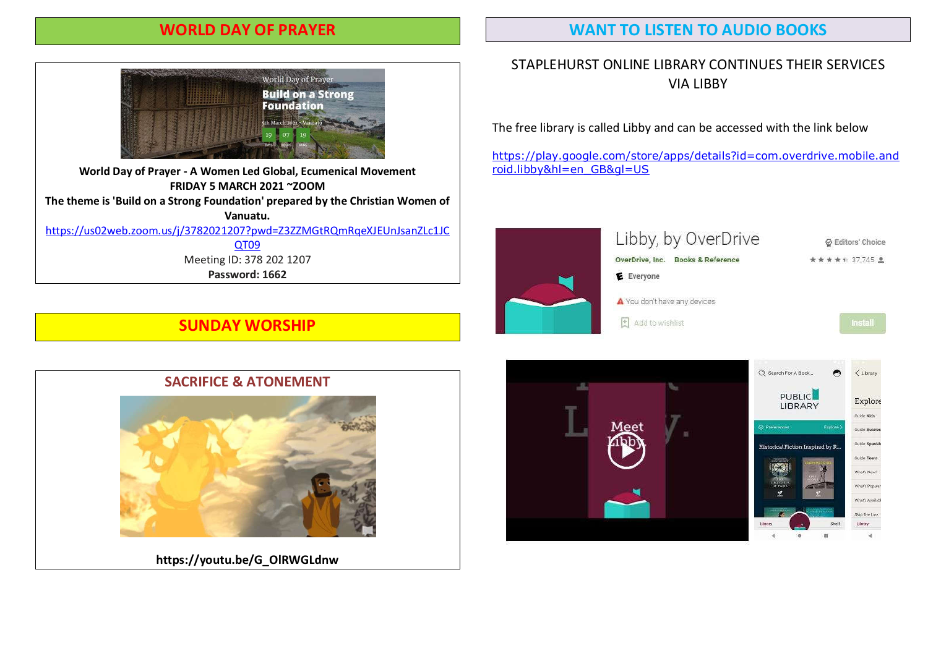### WORLD DAY OF PRAYER

#### WANT TO LISTEN TO AUDIO BOOKS



World Day of Prayer - A Women Led Global, Ecumenical Movement FRIDAY 5 MARCH 2021 ~ZOOM The theme is 'Build on a Strong Foundation' prepared by the Christian Women of Vanuatu. https://us02web.zoom.us/j/3782021207?pwd=Z3ZZMGtRQmRqeXJEUnJsanZLc1JC QT09 Meeting ID: 378 202 1207 Password: 1662

#### STAPLEHURST ONLINE LIBRARY CONTINUES THEIR SERVICES VIA LIBBY

The free library is called Libby and can be accessed with the link below

https://play.google.com/store/apps/details?id=com.overdrive.mobile.and roid.libby&hl=en\_GB&gl=US



## SUNDAY WORSHIP

#### SACRIFICE & ATONEMENT



https://youtu.be/G\_OlRWGLdnw

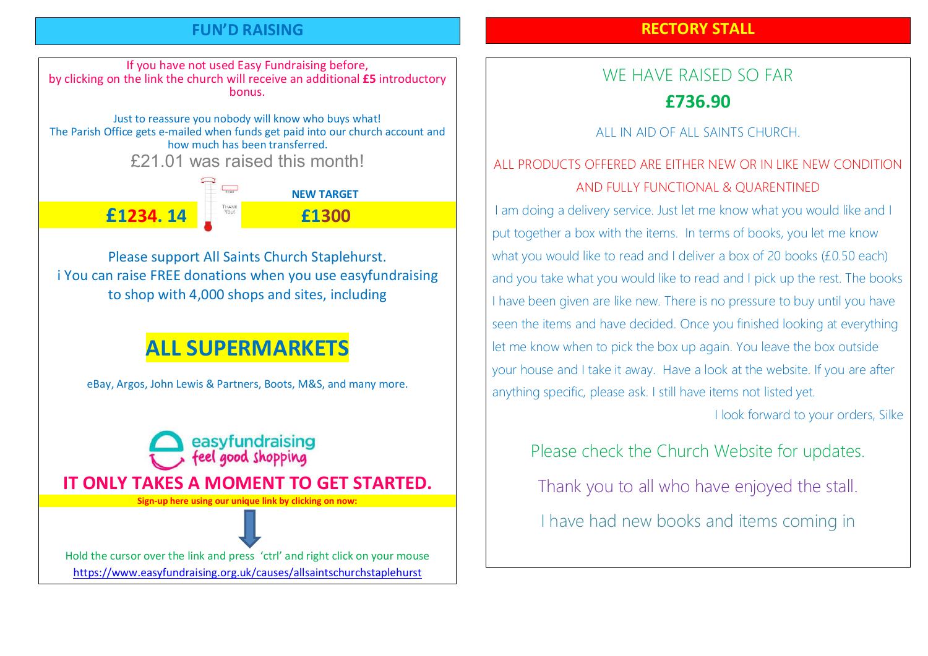## FUN'D RAISING

## RECTORY STALL

If you have not used Easy Fundraising before, by clicking on the link the church will receive an additional £5 introductory bonus.

Just to reassure you nobody will know who buys what! The Parish Office gets e-mailed when funds get paid into our church account and how much has been transferred.

£21.01 was raised this month!

 $\overline{\phantom{a_{\lambda_1,\lambda_2}}}$  NFW TARGET £1234. 14 £1300

Please support All Saints Church Staplehurst. i You can raise FREE donations when you use easyfundraising to shop with 4,000 shops and sites, including

# ALL SUPERMARKETS

eBay, Argos, John Lewis & Partners, Boots, M&S, and many more.



Hold the cursor over the link and press 'ctrl' and right click on your mouse https://www.easyfundraising.org.uk/causes/allsaintschurchstaplehurst

# WE HAVE RAISED SO FAR £736.90

ALL IN AID OF ALL SAINTS CHURCH.

## ALL PRODUCTS OFFERED ARE EITHER NEW OR IN LIKE NEW CONDITION AND FULLY FUNCTIONAL & QUARENTINED

I am doing a delivery service. Just let me know what you would like and I put together a box with the items. In terms of books, you let me know what you would like to read and I deliver a box of 20 books (£0.50 each) and you take what you would like to read and I pick up the rest. The books I have been given are like new. There is no pressure to buy until you have seen the items and have decided. Once you finished looking at everything let me know when to pick the box up again. You leave the box outside your house and I take it away. Have a look at the website. If you are after anything specific, please ask. I still have items not listed yet.

I look forward to your orders, Silke

Please check the Church Website for updates.

Thank you to all who have enjoyed the stall.

I have had new books and items coming in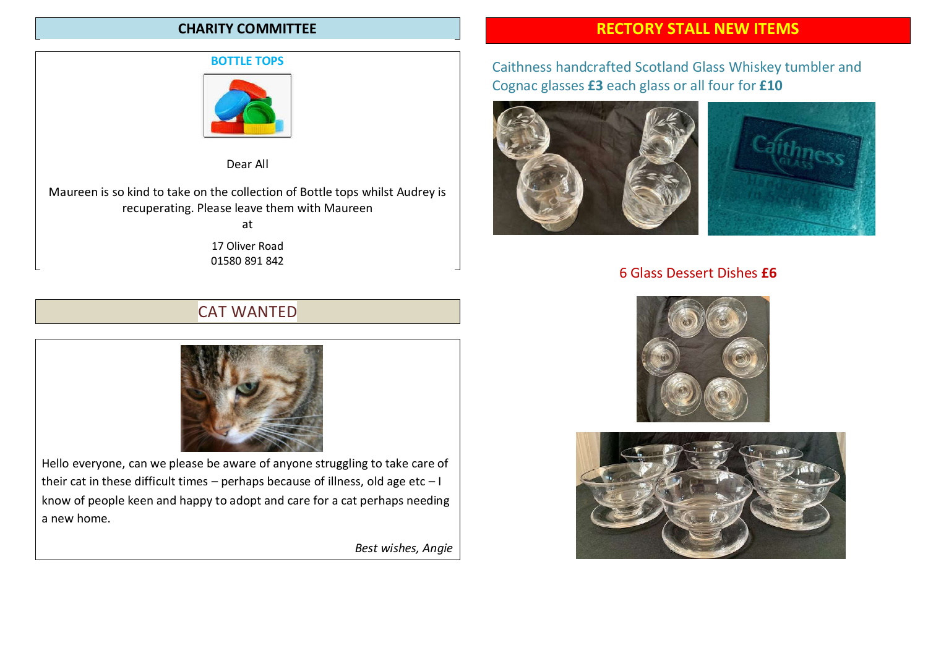#### CHARITY COMMITTEE

#### BOTTLE TOPS



Dear All

Maureen is so kind to take on the collection of Bottle tops whilst Audrey is recuperating. Please leave them with Maureen at

17 Oliver Road 01580 891 842

## CAT WANTED



Hello everyone, can we please be aware of anyone struggling to take care of their cat in these difficult times – perhaps because of illness, old age etc –  $I$ know of people keen and happy to adopt and care for a cat perhaps needing a new home.

Best wishes, Angie

## RECTORY STALL NEW ITEMS

## Caithness handcrafted Scotland Glass Whiskey tumbler and Cognac glasses £3 each glass or all four for £10



#### 6 Glass Dessert Dishes £6